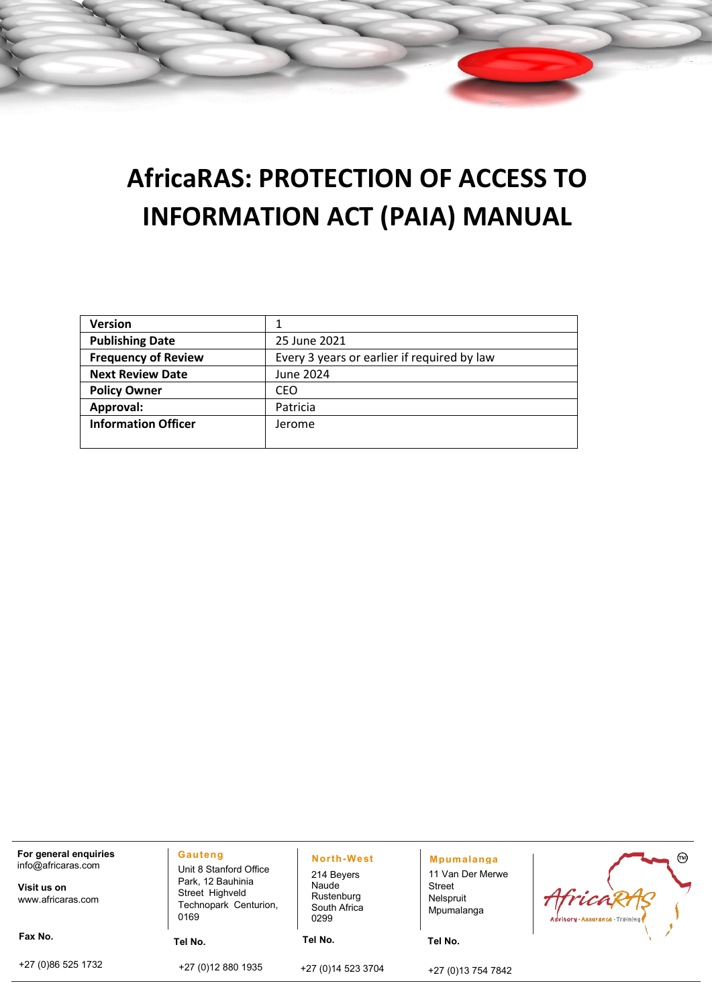# **AfricaRAS: PROTECTION OF ACCESS TO INFORMATION ACT (PAIA) MANUAL**

| <b>Version</b>             |                                             |
|----------------------------|---------------------------------------------|
| <b>Publishing Date</b>     | 25 June 2021                                |
| <b>Frequency of Review</b> | Every 3 years or earlier if required by law |
| <b>Next Review Date</b>    | June 2024                                   |
| <b>Policy Owner</b>        | <b>CEO</b>                                  |
| Approval:                  | Patricia                                    |
| <b>Information Officer</b> | Jerome                                      |
|                            |                                             |

| For general enquiries<br>info@africaras.com<br>Visit us on | <b>Gauteng</b><br>Unit 8 Stanford Office<br>Park, 12 Bauhinia | North-West<br>214 Beyers<br>Naude  | <b>Mpumalanga</b><br>11 Van Der Merwe<br>Street | ☜                                         |
|------------------------------------------------------------|---------------------------------------------------------------|------------------------------------|-------------------------------------------------|-------------------------------------------|
| www.africaras.com                                          | Street Highveld<br>Technopark Centurion,<br>0169              | Rustenburg<br>South Africa<br>0299 | Nelspruit<br>Mpumalanga                         | Africi<br>Advisory - Assurance - Training |
| Fax No.                                                    | Tel No.                                                       | Tel No.                            | Tel No.                                         |                                           |
| +27 (0)86 525 1732                                         | +27 (0) 12 880 1935                                           | +27 (0) 14 523 3704                | +27 (0)13 754 7842                              |                                           |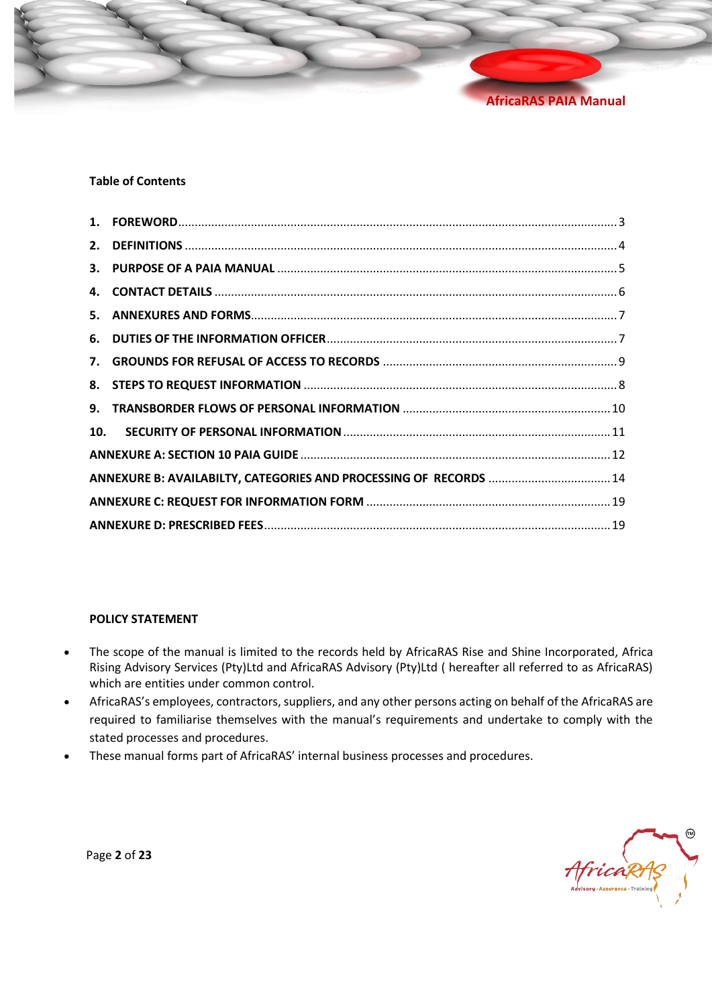

#### **Table of Contents**

| 10. |                                                                   |  |
|-----|-------------------------------------------------------------------|--|
|     |                                                                   |  |
|     | ANNEXURE B: AVAILABILTY, CATEGORIES AND PROCESSING OF RECORDS  14 |  |
|     |                                                                   |  |
|     |                                                                   |  |
|     |                                                                   |  |

#### **POLICY STATEMENT**

- The scope of the manual is limited to the records held by AfricaRAS Rise and Shine Incorporated, Africa Rising Advisory Services (Pty)Ltd and AfricaRAS Advisory (Pty)Ltd ( hereafter all referred to as AfricaRAS) which are entities under common control.
- AfricaRAS's employees, contractors, suppliers, and any other persons acting on behalf of the AfricaRAS are required to familiarise themselves with the manual's requirements and undertake to comply with the stated processes and procedures.
- These manual forms part of AfricaRAS' internal business processes and procedures.

AfricaRA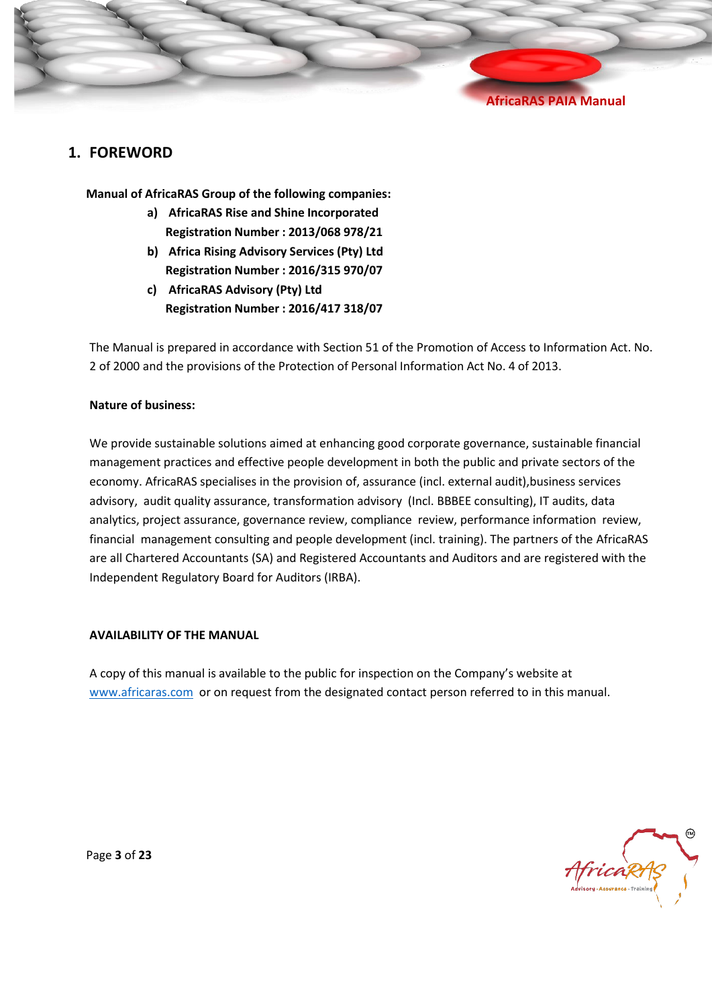#### <span id="page-2-0"></span>**1. FOREWORD**

**Manual of AfricaRAS Group of the following companies:** 

- **a) AfricaRAS Rise and Shine Incorporated Registration Number : 2013/068 978/21**
- **b) Africa Rising Advisory Services (Pty) Ltd Registration Number : 2016/315 970/07**
- **c) AfricaRAS Advisory (Pty) Ltd Registration Number : 2016/417 318/07**

The Manual is prepared in accordance with Section 51 of the Promotion of Access to Information Act. No. 2 of 2000 and the provisions of the Protection of Personal Information Act No. 4 of 2013.

#### **Nature of business:**

We provide sustainable solutions aimed at enhancing good corporate governance, sustainable financial management practices and effective people development in both the public and private sectors of the economy. AfricaRAS specialises in the provision of, assurance (incl. external audit),business services advisory, audit quality assurance, transformation advisory (Incl. BBBEE consulting), IT audits, data analytics, project assurance, governance review, compliance review, performance information review, financial management consulting and people development (incl. training). The partners of the AfricaRAS are all Chartered Accountants (SA) and Registered Accountants and Auditors and are registered with the Independent Regulatory Board for Auditors (IRBA).

#### **AVAILABILITY OF THE MANUAL**

A copy of this manual is available to the public for inspection on the Company's website at [www.africaras.com](http://www.africaras.com/) or on request from the designated contact person referred to in this manual.



Page **3** of **23**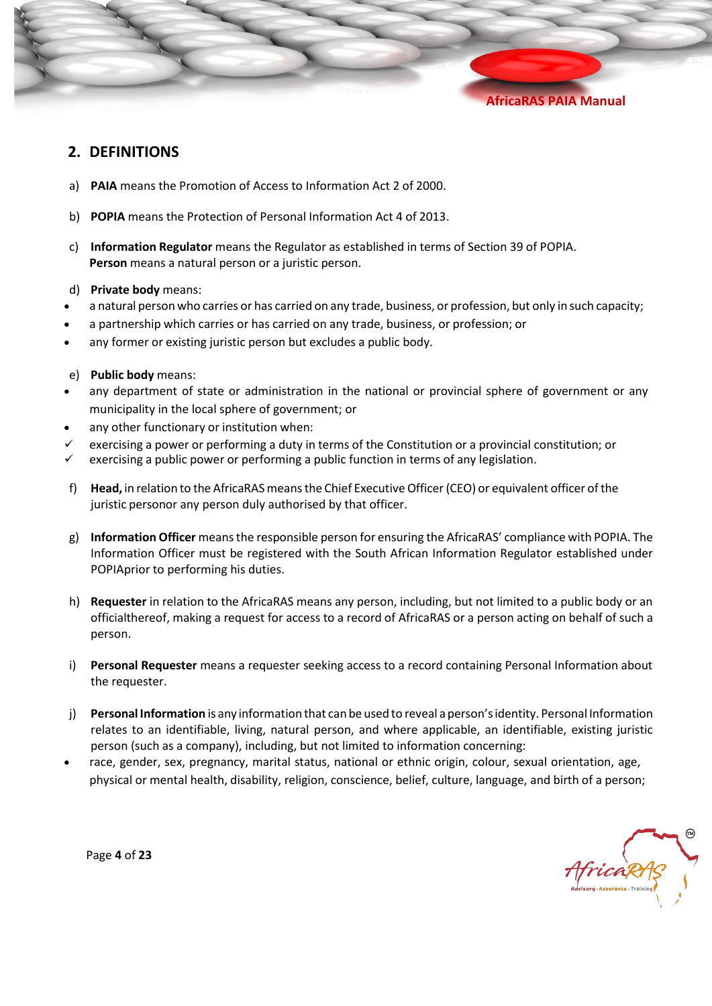

#### <span id="page-3-0"></span>**2. DEFINITIONS**

- a) **PAIA** means the Promotion of Access to Information Act 2 of 2000.
- b) **POPIA** means the Protection of Personal Information Act 4 of 2013.
- c) **Information Regulator** means the Regulator as established in terms of Section 39 of POPIA. **Person** means a natural person or a juristic person.
- d) **Private body** means:
- a natural person who carries or has carried on any trade, business, or profession, but only in such capacity;
- a partnership which carries or has carried on any trade, business, or profession; or
- any former or existing juristic person but excludes a public body.
- e) **Public body** means:
- any department of state or administration in the national or provincial sphere of government or any municipality in the local sphere of government; or
- any other functionary or institution when:
- $\checkmark$  exercising a power or performing a duty in terms of the Constitution or a provincial constitution; or
- $\checkmark$  exercising a public power or performing a public function in terms of any legislation.
- f) Head, in relation to the AfricaRAS means the Chief Executive Officer (CEO) or equivalent officer of the juristic personor any person duly authorised by that officer.
- g) **Information Officer** means the responsible person for ensuring the AfricaRAS' compliance with POPIA. The Information Officer must be registered with the South African Information Regulator established under POPIAprior to performing his duties.
- h) **Requester** in relation to the AfricaRAS means any person, including, but not limited to a public body or an officialthereof, making a request for access to a record of AfricaRAS or a person acting on behalf of such a person.
- i) **Personal Requester** means a requester seeking access to a record containing Personal Information about the requester.
- j) **Personal Information** is any information that can be used to reveal a person'sidentity. Personal Information relates to an identifiable, living, natural person, and where applicable, an identifiable, existing juristic person (such as a company), including, but not limited to information concerning:
- race, gender, sex, pregnancy, marital status, national or ethnic origin, colour, sexual orientation, age, physical or mental health, disability, religion, conscience, belief, culture, language, and birth of a person;

AfricaRAS

Page **4** of **23**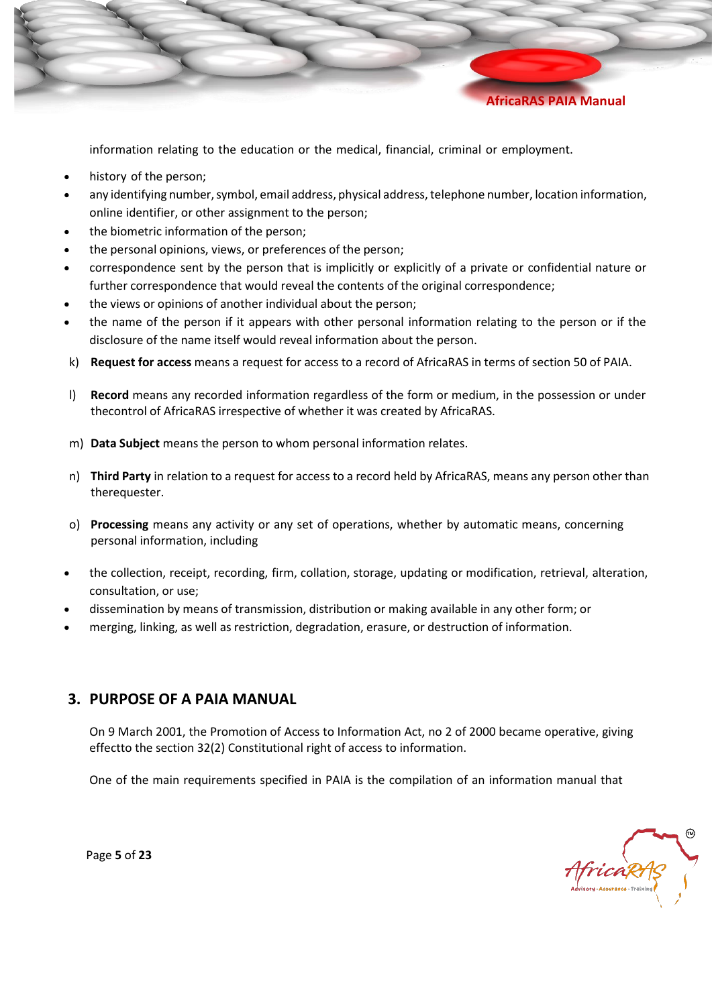

information relating to the education or the medical, financial, criminal or employment.

- history of the person;
- any identifying number, symbol, email address, physical address, telephone number, location information, online identifier, or other assignment to the person;
- the biometric information of the person;
- the personal opinions, views, or preferences of the person;
- correspondence sent by the person that is implicitly or explicitly of a private or confidential nature or further correspondence that would reveal the contents of the original correspondence;
- the views or opinions of another individual about the person;
- the name of the person if it appears with other personal information relating to the person or if the disclosure of the name itself would reveal information about the person.
- k) **Request for access** means a request for access to a record of AfricaRAS in terms of section 50 of PAIA.
- l) **Record** means any recorded information regardless of the form or medium, in the possession or under thecontrol of AfricaRAS irrespective of whether it was created by AfricaRAS.
- m) **Data Subject** means the person to whom personal information relates.
- n) **Third Party** in relation to a request for access to a record held by AfricaRAS, means any person other than therequester.
- o) **Processing** means any activity or any set of operations, whether by automatic means, concerning personal information, including
- the collection, receipt, recording, firm, collation, storage, updating or modification, retrieval, alteration, consultation, or use;
- dissemination by means of transmission, distribution or making available in any other form; or
- merging, linking, as well as restriction, degradation, erasure, or destruction of information.

## <span id="page-4-0"></span>**3. PURPOSE OF A PAIA MANUAL**

On 9 March 2001, the Promotion of Access to Information Act, no 2 of 2000 became operative, giving effectto the section 32(2) Constitutional right of access to information.

One of the main requirements specified in PAIA is the compilation of an information manual that

AfricaRAS

Page **5** of **23**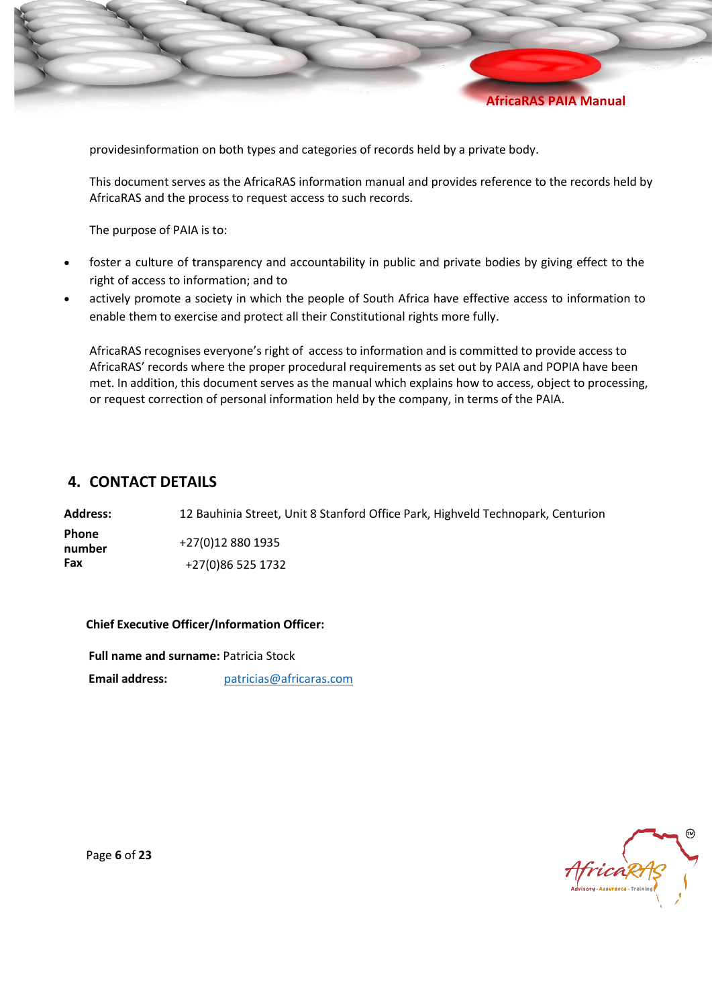

providesinformation on both types and categories of records held by a private body.

This document serves as the AfricaRAS information manual and provides reference to the records held by AfricaRAS and the process to request access to such records.

The purpose of PAIA is to:

- foster a culture of transparency and accountability in public and private bodies by giving effect to the right of access to information; and to
- actively promote a society in which the people of South Africa have effective access to information to enable them to exercise and protect all their Constitutional rights more fully.

AfricaRAS recognises everyone's right of access to information and is committed to provide access to AfricaRAS' records where the proper procedural requirements as set out by PAIA and POPIA have been met. In addition, this document serves as the manual which explains how to access, object to processing, or request correction of personal information held by the company, in terms of the PAIA.

### <span id="page-5-0"></span>**4. CONTACT DETAILS**

**Address:** 12 Bauhinia Street, Unit 8 Stanford Office Park, Highveld Technopark, Centurion **Phone number** +27(0)12 880 1935 **Fax** +27(0)86 525 1732

#### **Chief Executive Officer/Information Officer:**

 **Full name and surname:** Patricia Stock

 **Email address:** [patricias@africaras.com](mailto:patricias@africaras.com)



Page **6** of **23**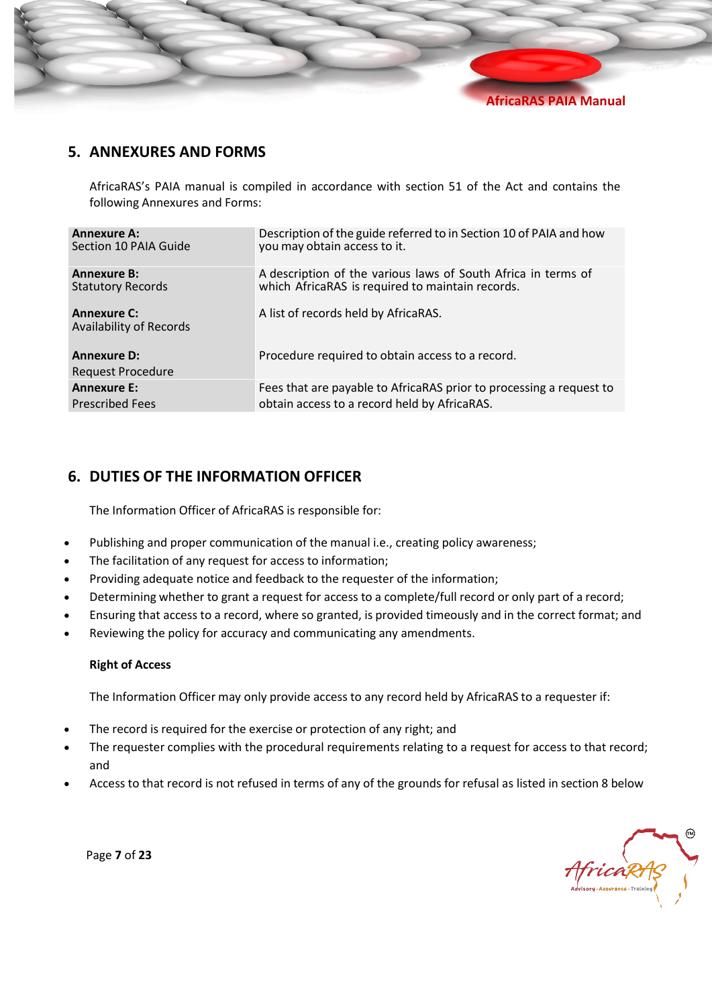

## <span id="page-6-0"></span>**5. ANNEXURES AND FORMS**

AfricaRAS's PAIA manual is compiled in accordance with section 51 of the Act and contains the following Annexures and Forms:

| <b>Annexure A:</b>                             | Description of the guide referred to in Section 10 of PAIA and how  |
|------------------------------------------------|---------------------------------------------------------------------|
| Section 10 PAIA Guide                          | you may obtain access to it.                                        |
| <b>Annexure B:</b>                             | A description of the various laws of South Africa in terms of       |
| <b>Statutory Records</b>                       | which AfricaRAS is required to maintain records.                    |
| <b>Annexure C:</b><br>Availability of Records  | A list of records held by AfricaRAS.                                |
| <b>Annexure D:</b><br><b>Request Procedure</b> | Procedure required to obtain access to a record.                    |
| <b>Annexure E:</b>                             | Fees that are payable to AfricaRAS prior to processing a request to |
| <b>Prescribed Fees</b>                         | obtain access to a record held by AfricaRAS.                        |

## <span id="page-6-1"></span>**6. DUTIES OF THE INFORMATION OFFICER**

The Information Officer of AfricaRAS is responsible for:

- Publishing and proper communication of the manual i.e., creating policy awareness;
- The facilitation of any request for access to information;
- Providing adequate notice and feedback to the requester of the information;
- Determining whether to grant a request for access to a complete/full record or only part of a record;
- Ensuring that access to a record, where so granted, is provided timeously and in the correct format; and
- Reviewing the policy for accuracy and communicating any amendments.

#### **Right of Access**

The Information Officer may only provide access to any record held by AfricaRAS to a requester if:

- The record is required for the exercise or protection of any right; and
- The requester complies with the procedural requirements relating to a request for access to that record; and
- Access to that record is not refused in terms of any of the grounds for refusal as listed in section 8 below

AfricaRAS

Page **7** of **23**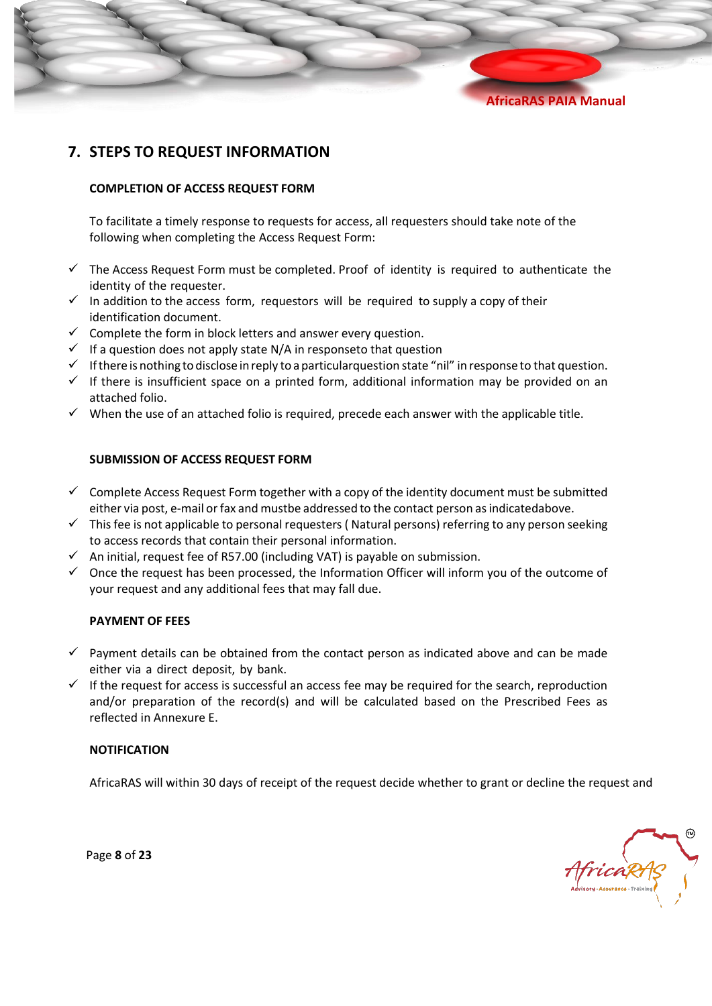## <span id="page-7-0"></span>**7. STEPS TO REQUEST INFORMATION**

#### **COMPLETION OF ACCESS REQUEST FORM**

To facilitate a timely response to requests for access, all requesters should take note of the following when completing the Access Request Form:

- $\checkmark$  The Access Request Form must be completed. Proof of identity is required to authenticate the identity of the requester.
- $\checkmark$  In addition to the access form, requestors will be required to supply a copy of their identification document.
- $\checkmark$  Complete the form in block letters and answer every question.
- $\checkmark$  If a question does not apply state N/A in responseto that question
- $\checkmark$  If there is nothing to disclose in reply to a particularquestion state "nil" in response to that question.
- ✓ If there is insufficient space on a printed form, additional information may be provided on an attached folio.
- $\checkmark$  When the use of an attached folio is required, precede each answer with the applicable title.

#### **SUBMISSION OF ACCESS REQUEST FORM**

- $\checkmark$  Complete Access Request Form together with a copy of the identity document must be submitted either via post, e-mail or fax and mustbe addressed to the contact person as indicated above.
- $\checkmark$  This fee is not applicable to personal requesters (Natural persons) referring to any person seeking to access records that contain their personal information.
- $\checkmark$  An initial, request fee of R57.00 (including VAT) is payable on submission.
- $\checkmark$  Once the request has been processed, the Information Officer will inform you of the outcome of your request and any additional fees that may fall due.

#### **PAYMENT OF FEES**

- $\checkmark$  Payment details can be obtained from the contact person as indicated above and can be made either via a direct deposit, by bank.
- $\checkmark$  If the request for access is successful an access fee may be required for the search, reproduction and/or preparation of the record(s) and will be calculated based on the Prescribed Fees as reflected in Annexure E.

#### **NOTIFICATION**

AfricaRAS will within 30 days of receipt of the request decide whether to grant or decline the request and

Page **8** of **23**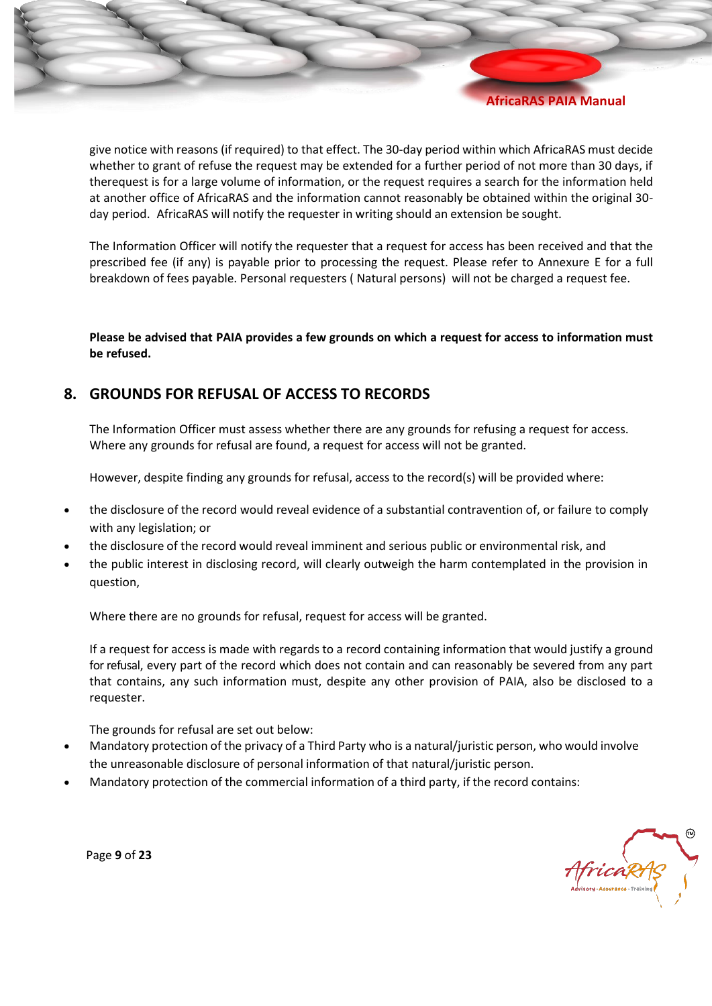give notice with reasons (if required) to that effect. The 30-day period within which AfricaRAS must decide whether to grant of refuse the request may be extended for a further period of not more than 30 days, if therequest is for a large volume of information, or the request requires a search for the information held at another office of AfricaRAS and the information cannot reasonably be obtained within the original 30 day period. AfricaRAS will notify the requester in writing should an extension be sought.

The Information Officer will notify the requester that a request for access has been received and that the prescribed fee (if any) is payable prior to processing the request. Please refer to Annexure E for a full breakdown of fees payable. Personal requesters ( Natural persons) will not be charged a request fee.

Please be advised that PAIA provides a few grounds on which a request for access to information must **be refused.** 

## <span id="page-8-0"></span>**8. GROUNDS FOR REFUSAL OF ACCESS TO RECORDS**

The Information Officer must assess whether there are any grounds for refusing a request for access. Where any grounds for refusal are found, a request for access will not be granted.

However, despite finding any grounds for refusal, access to the record(s) will be provided where:

- the disclosure of the record would reveal evidence of a substantial contravention of, or failure to comply with any legislation; or
- the disclosure of the record would reveal imminent and serious public or environmental risk, and
- the public interest in disclosing record, will clearly outweigh the harm contemplated in the provision in question,

Where there are no grounds for refusal, request for access will be granted.

If a request for access is made with regards to a record containing information that would justify a ground for refusal, every part of the record which does not contain and can reasonably be severed from any part that contains, any such information must, despite any other provision of PAIA, also be disclosed to a requester.

The grounds for refusal are set out below:

- Mandatory protection of the privacy of a Third Party who is a natural/juristic person, who would involve the unreasonable disclosure of personal information of that natural/juristic person.
- Mandatory protection of the commercial information of a third party, if the record contains:



Page **9** of **23**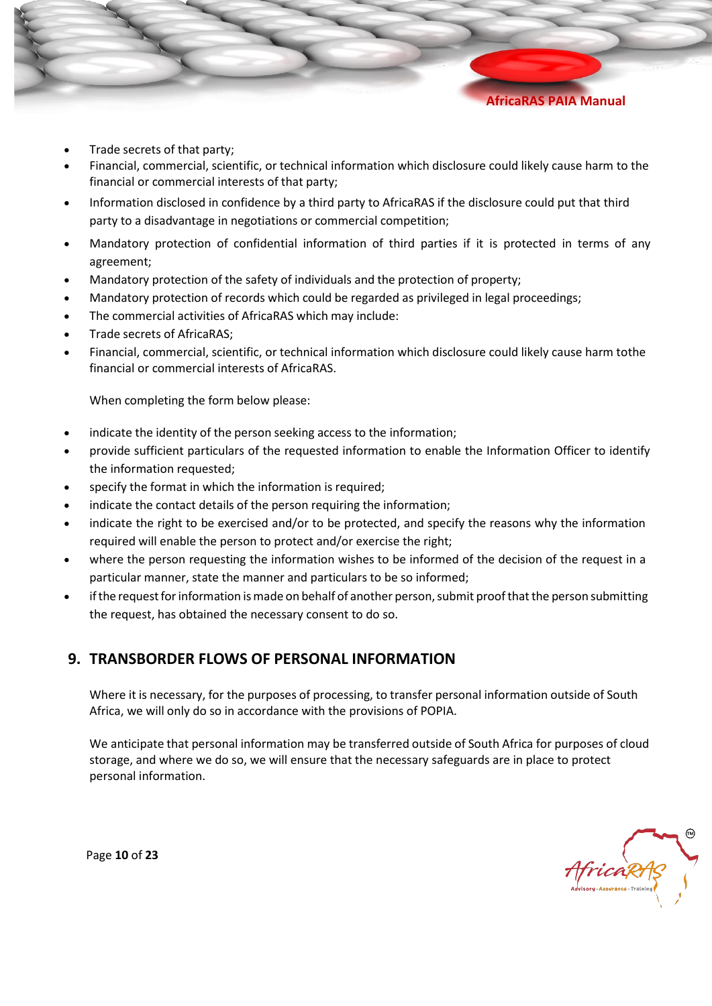

Trade secrets of that party;

- Financial, commercial, scientific, or technical information which disclosure could likely cause harm to the financial or commercial interests of that party;
- Information disclosed in confidence by a third party to AfricaRAS if the disclosure could put that third party to a disadvantage in negotiations or commercial competition;
- Mandatory protection of confidential information of third parties if it is protected in terms of any agreement;
- Mandatory protection of the safety of individuals and the protection of property;
- Mandatory protection of records which could be regarded as privileged in legal proceedings;
- The commercial activities of AfricaRAS which may include:
- Trade secrets of AfricaRAS;
- Financial, commercial, scientific, or technical information which disclosure could likely cause harm tothe financial or commercial interests of AfricaRAS.

When completing the form below please:

- indicate the identity of the person seeking access to the information;
- provide sufficient particulars of the requested information to enable the Information Officer to identify the information requested;
- specify the format in which the information is required;
- indicate the contact details of the person requiring the information;
- indicate the right to be exercised and/or to be protected, and specify the reasons why the information required will enable the person to protect and/or exercise the right;
- where the person requesting the information wishes to be informed of the decision of the request in a particular manner, state the manner and particulars to be so informed;
- if the request for information is made on behalf of another person, submit proof that the person submitting the request, has obtained the necessary consent to do so.

## <span id="page-9-0"></span>**9. TRANSBORDER FLOWS OF PERSONAL INFORMATION**

Where it is necessary, for the purposes of processing, to transfer personal information outside of South Africa, we will only do so in accordance with the provisions of POPIA.

We anticipate that personal information may be transferred outside of South Africa for purposes of cloud storage, and where we do so, we will ensure that the necessary safeguards are in place to protect personal information.

AfricaRAs

Page **10** of **23**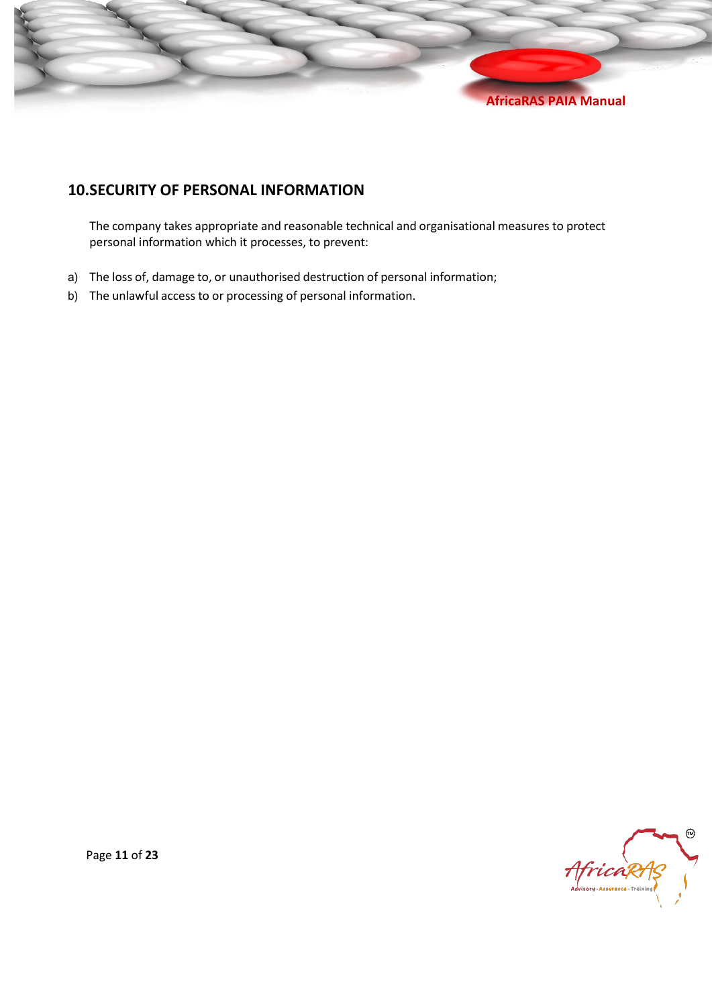

## <span id="page-10-0"></span>**10.SECURITY OF PERSONAL INFORMATION**

The company takes appropriate and reasonable technical and organisational measures to protect personal information which it processes, to prevent:

- a) The loss of, damage to, or unauthorised destruction of personal information;
- b) The unlawful access to or processing of personal information.



Page **11** of **23**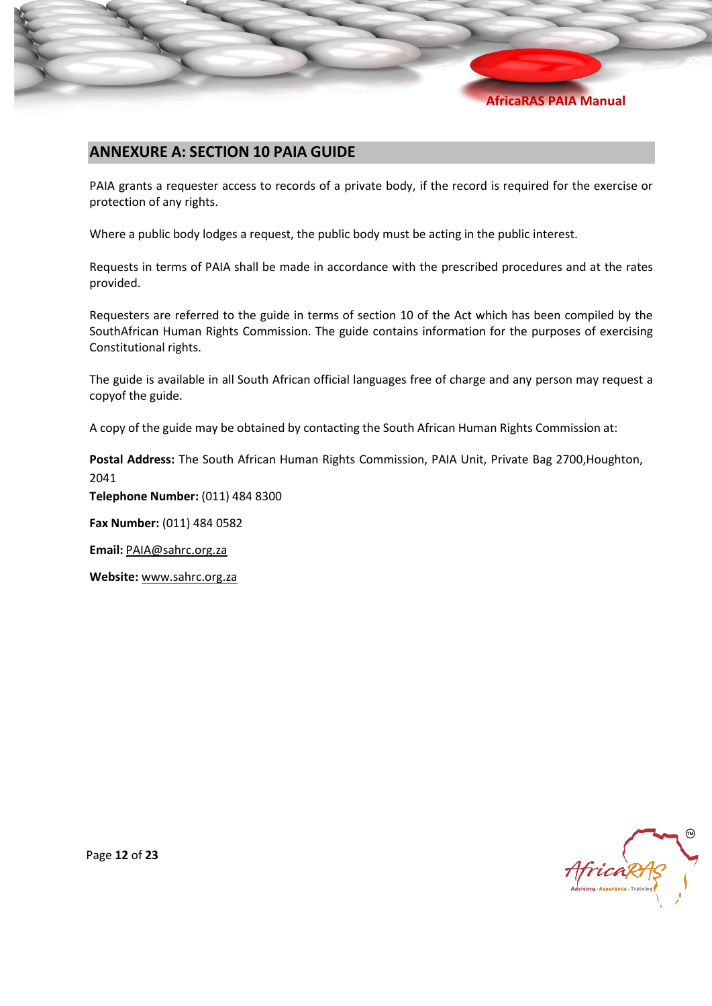## <span id="page-11-0"></span>**ANNEXURE A: SECTION 10 PAIA GUIDE**

PAIA grants a requester access to records of a private body, if the record is required for the exercise or protection of any rights.

Where a public body lodges a request, the public body must be acting in the public interest.

Requests in terms of PAIA shall be made in accordance with the prescribed procedures and at the rates provided.

Requesters are referred to the guide in terms of section 10 of the Act which has been compiled by the SouthAfrican Human Rights Commission. The guide contains information for the purposes of exercising Constitutional rights.

The guide is available in all South African official languages free of charge and any person may request a copyof the guide.

A copy of the guide may be obtained by contacting the South African Human Rights Commission at:

**Postal Address:** The South African Human Rights Commission, PAIA Unit, Private Bag 2700,Houghton, 2041

**Telephone Number:** (011) 484 8300

**Fax Number:** (011) 484 0582

**Email:** [PAIA@sahrc.org.za](mailto:PAIA@sahrc.org.za)

**Website:** [www.sahrc.org.za](http://www.sahrc.org.za/)



Page **12** of **23**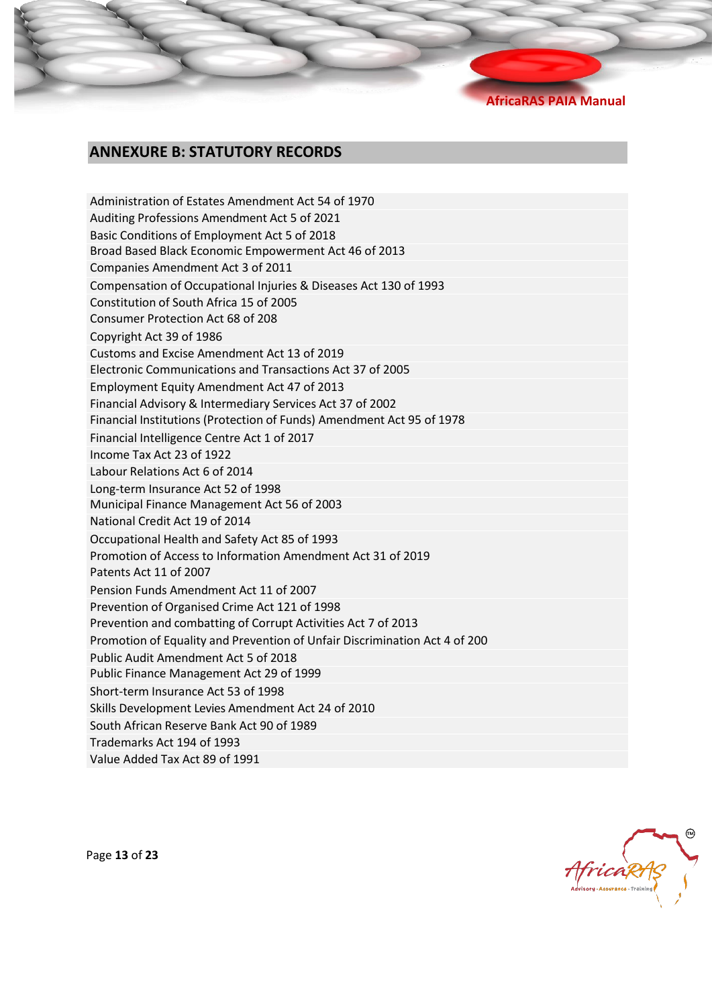## **ANNEXURE B: STATUTORY RECORDS**

Administration of Estates Amendment Act 54 of 1970 Auditing Professions Amendment Act 5 of 2021 Basic Conditions of Employment Act 5 of 2018 Broad Based Black Economic Empowerment Act 46 of 2013 Companies Amendment Act 3 of 2011 Compensation of Occupational Injuries & Diseases Act 130 of 1993 Constitution of South Africa 15 of 2005 Consumer Protection Act 68 of 208 Copyright Act 39 of 1986 Customs and Excise Amendment Act 13 of 2019 Electronic Communications and Transactions Act 37 of 2005 Employment Equity Amendment Act 47 of 2013 Financial Advisory & Intermediary Services Act 37 of 2002 Financial Institutions (Protection of Funds) Amendment Act 95 of 1978 Financial Intelligence Centre Act 1 of 2017 Income Tax Act 23 of 1922 Labour Relations Act 6 of 2014 Long-term Insurance Act 52 of 1998 Municipal Finance Management Act 56 of 2003 National Credit Act 19 of 2014 Occupational Health and Safety Act 85 of 1993 Promotion of Access to Information Amendment Act 31 of 2019 Patents Act 11 of 2007 Pension Funds Amendment Act 11 of 2007 Prevention of Organised Crime Act 121 of 1998 Prevention and combatting of Corrupt Activities Act 7 of 2013 Promotion of Equality and Prevention of Unfair Discrimination Act 4 of 200 Public Audit Amendment Act 5 of 2018 Public Finance Management Act 29 of 1999 Short-term Insurance Act 53 of 1998 Skills Development Levies Amendment Act 24 of 2010 South African Reserve Bank Act 90 of 1989 Trademarks Act 194 of 1993

Value Added Tax Act 89 of 1991

Hricak

Page **13** of **23**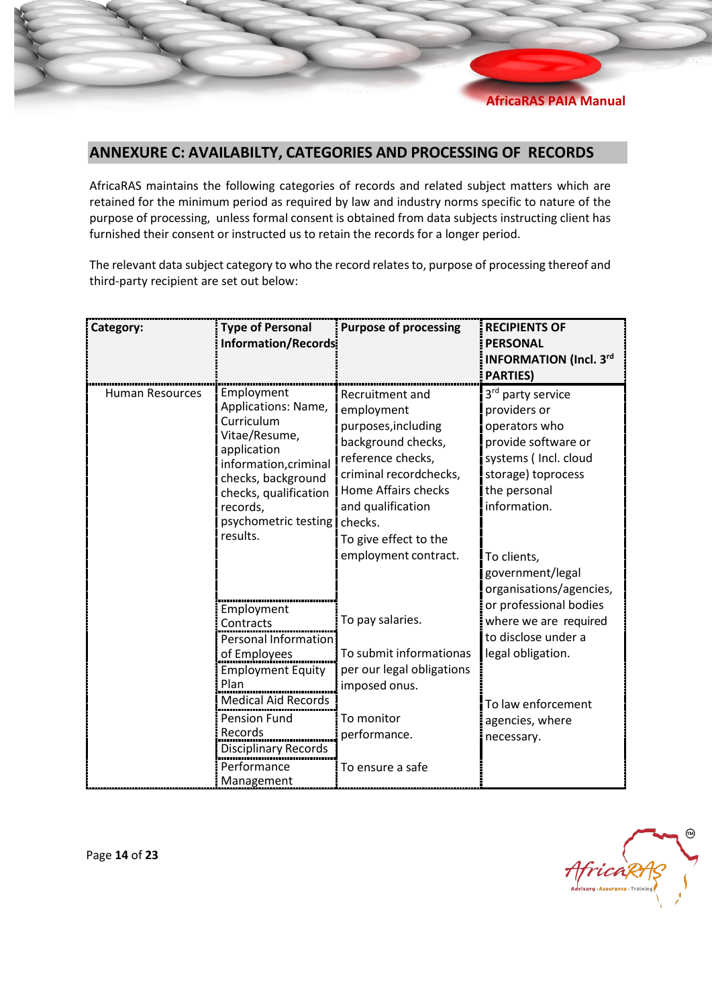

## <span id="page-13-0"></span>**ANNEXURE C: AVAILABILTY, CATEGORIES AND PROCESSING OF RECORDS**

AfricaRAS maintains the following categories of records and related subject matters which are retained for the minimum period as required by law and industry norms specific to nature of the purpose of processing, unless formal consent is obtained from data subjects instructing client has furnished their consent or instructed us to retain the records for a longer period.

The relevant data subject category to who the record relatesto, purpose of processing thereof and third-party recipient are set out below:

| Category:              | <b>Type of Personal</b><br>Information/Records:                                                                                                                                                                                 | <b>Purpose of processing</b>                                                                                                                                                                                                      | <b>RECIPIENTS OF</b><br><b>PERSONAL</b><br><b>INFORMATION (Incl. 3rd</b><br><b>PARTIES)</b>                                                                                                                                       |
|------------------------|---------------------------------------------------------------------------------------------------------------------------------------------------------------------------------------------------------------------------------|-----------------------------------------------------------------------------------------------------------------------------------------------------------------------------------------------------------------------------------|-----------------------------------------------------------------------------------------------------------------------------------------------------------------------------------------------------------------------------------|
| <b>Human Resources</b> | Employment<br>Applications: Name,<br>Curriculum<br>Vitae/Resume,<br>application<br>information, criminal<br>checks, background<br>checks, qualification<br>records,<br>psychometric testing:<br>results.                        | Recruitment and<br>employment<br>purposes, including<br>background checks,<br>reference checks,<br>criminal recordchecks,<br>Home Affairs checks<br>and qualification<br>checks.<br>To give effect to the<br>employment contract. | 3 <sup>rd</sup> party service<br>providers or<br>operators who<br>provide software or<br>systems (Incl. cloud<br>storage) toprocess<br>the personal<br>information.<br>To clients,<br>government/legal<br>organisations/agencies, |
|                        | Employment<br>Contracts<br><b>Personal Information</b><br>of Employees<br><b>Employment Equity</b><br>Plan<br><b>Medical Aid Records</b><br><b>Pension Fund</b><br>Records<br>Disciplinary Records<br>Performance<br>Management | To pay salaries.<br>To submit informationas<br>per our legal obligations<br>imposed onus.<br>To monitor<br>performance.<br>To ensure a safe                                                                                       | or professional bodies<br>where we are required<br>to disclose under a<br>legal obligation.<br>To law enforcement<br>agencies, where<br>necessary.                                                                                |



Page **14** of **23**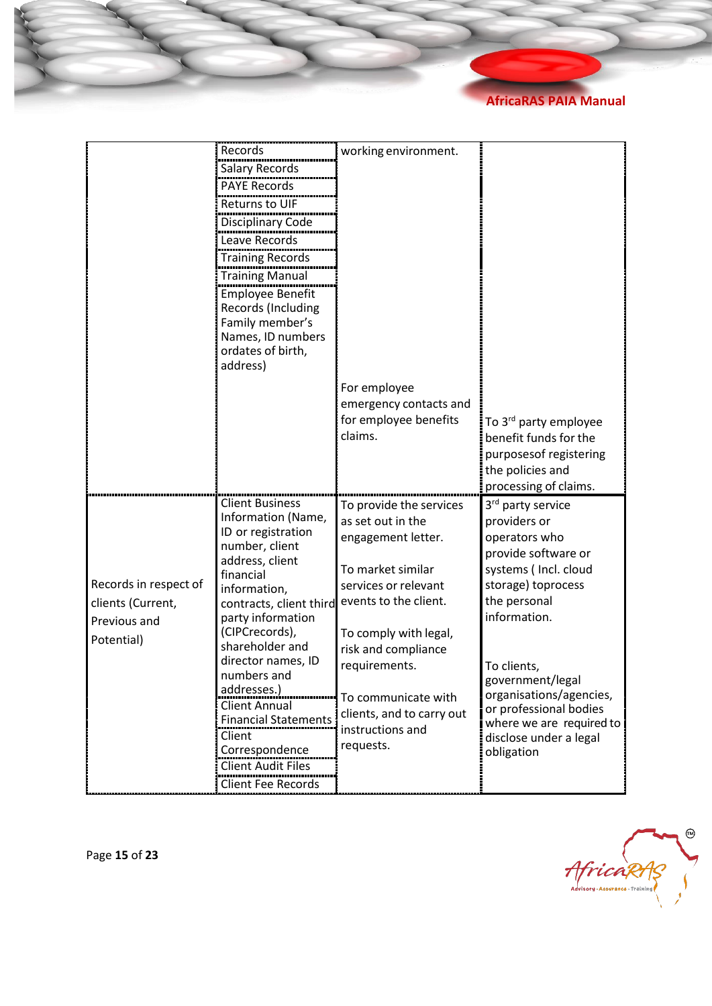|                       | Records                                     | working environment.                             |                                             |
|-----------------------|---------------------------------------------|--------------------------------------------------|---------------------------------------------|
|                       | <b>Salary Records</b>                       |                                                  |                                             |
|                       | <b>PAYE Records</b>                         |                                                  |                                             |
|                       | <b>Returns to UIF</b>                       |                                                  |                                             |
|                       | Disciplinary Code                           |                                                  |                                             |
|                       | Leave Records                               |                                                  |                                             |
|                       | <b>Training Records</b>                     |                                                  |                                             |
|                       | <b>Training Manual</b>                      |                                                  |                                             |
|                       | <b>Employee Benefit</b>                     |                                                  |                                             |
|                       | Records (Including                          |                                                  |                                             |
|                       | Family member's                             |                                                  |                                             |
|                       | Names, ID numbers                           |                                                  |                                             |
|                       | ordates of birth,<br>address)               |                                                  |                                             |
|                       |                                             |                                                  |                                             |
|                       |                                             | For employee                                     |                                             |
|                       |                                             | emergency contacts and                           |                                             |
|                       |                                             | for employee benefits<br>claims.                 | To 3 <sup>rd</sup> party employee           |
|                       |                                             |                                                  | benefit funds for the                       |
|                       |                                             |                                                  | purposesof registering<br>the policies and  |
|                       |                                             |                                                  | processing of claims.                       |
|                       | <b>Client Business</b>                      | To provide the services                          | 3 <sup>rd</sup> party service               |
|                       | Information (Name,                          | as set out in the                                | providers or                                |
|                       | ID or registration                          | engagement letter.                               | operators who                               |
|                       | number, client                              |                                                  | provide software or                         |
|                       | address, client<br>financial                | To market similar                                | systems (Incl. cloud                        |
| Records in respect of | information,                                | services or relevant                             | storage) toprocess                          |
| clients (Current,     | contracts, client third                     | events to the client.                            | the personal                                |
| Previous and          | party information                           |                                                  | information.                                |
| Potential)            | (CIPCrecords),                              | To comply with legal,                            |                                             |
|                       | shareholder and<br>director names, ID       | risk and compliance                              |                                             |
|                       | numbers and                                 | requirements.                                    | To clients,                                 |
|                       | addresses.)                                 |                                                  | government/legal<br>organisations/agencies, |
|                       | <b>Client Annual</b>                        | To communicate with<br>clients, and to carry out | or professional bodies                      |
|                       | <b>Financial Statements</b>                 | instructions and                                 | where we are required to                    |
|                       | Client                                      | requests.                                        | disclose under a legal                      |
|                       | Correspondence<br><b>Client Audit Files</b> |                                                  | obligation                                  |
|                       | <b>Client Fee Records</b>                   |                                                  |                                             |
|                       |                                             |                                                  |                                             |



Page **15** of **23**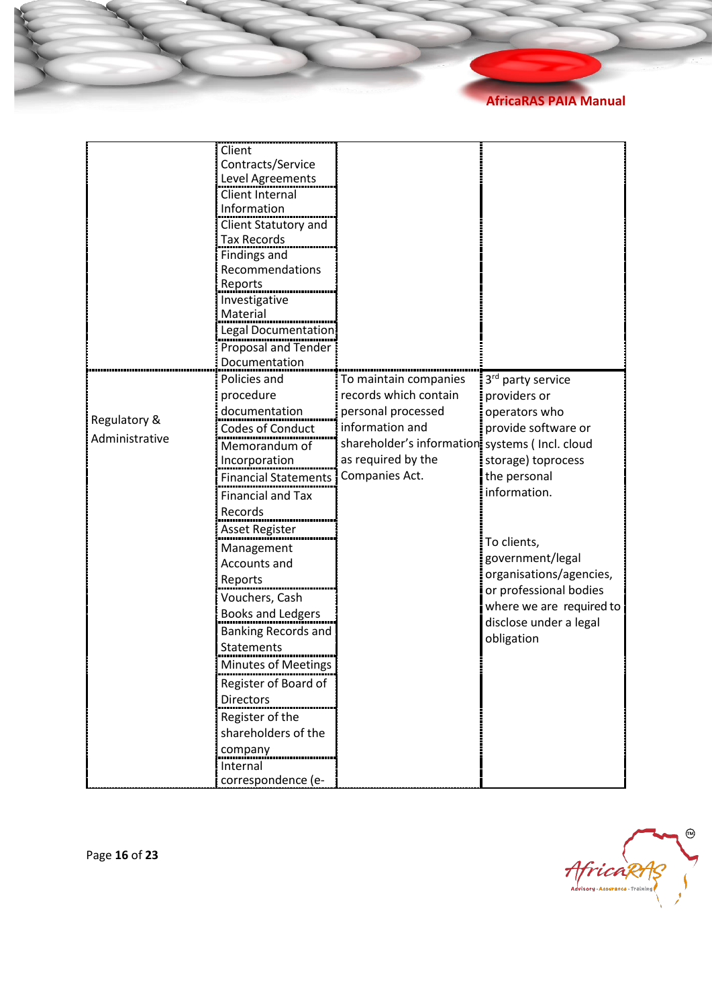|                | Client                      |                                                 |                               |
|----------------|-----------------------------|-------------------------------------------------|-------------------------------|
|                | Contracts/Service           |                                                 |                               |
|                | Level Agreements            |                                                 |                               |
|                | Client Internal             |                                                 |                               |
|                | Information                 |                                                 |                               |
|                | Client Statutory and        |                                                 |                               |
|                | <b>Tax Records</b>          |                                                 |                               |
|                | <b>Findings and</b>         |                                                 |                               |
|                | Recommendations             |                                                 |                               |
|                | Reports                     |                                                 |                               |
|                | Investigative               |                                                 |                               |
|                | Material                    |                                                 |                               |
|                | Legal Documentation         |                                                 |                               |
|                | Proposal and Tender         |                                                 |                               |
|                | Documentation               |                                                 |                               |
|                | Policies and                | To maintain companies                           | 3 <sup>rd</sup> party service |
|                | procedure                   | records which contain                           | providers or                  |
| Regulatory &   | documentation               | personal processed                              | operators who                 |
| Administrative | <b>Codes of Conduct</b>     | information and                                 | provide software or           |
|                | Memorandum of               | shareholder's information systems ( Incl. cloud |                               |
|                | Incorporation               | as required by the                              | storage) toprocess            |
|                | <b>Financial Statements</b> | Companies Act.                                  | the personal                  |
|                | <b>Financial and Tax</b>    |                                                 | information.                  |
|                | Records                     |                                                 |                               |
|                | Asset Register              |                                                 |                               |
|                | Management                  |                                                 | To clients,                   |
|                | Accounts and                |                                                 | government/legal              |
|                | Reports                     |                                                 | organisations/agencies,       |
|                | Vouchers, Cash              |                                                 | or professional bodies        |
|                | Books and Ledgers           |                                                 | where we are required to      |
|                | <b>Banking Records and</b>  |                                                 | disclose under a legal        |
|                | Statements                  |                                                 | obligation                    |
|                | Minutes of Meetings         |                                                 |                               |
|                | Register of Board of        |                                                 |                               |
|                | <b>Directors</b>            |                                                 |                               |
|                | Register of the             |                                                 |                               |
|                | shareholders of the         |                                                 |                               |
|                | company                     |                                                 |                               |
|                | Internal                    |                                                 |                               |
|                | correspondence (e-          |                                                 |                               |



Page **16** of **23**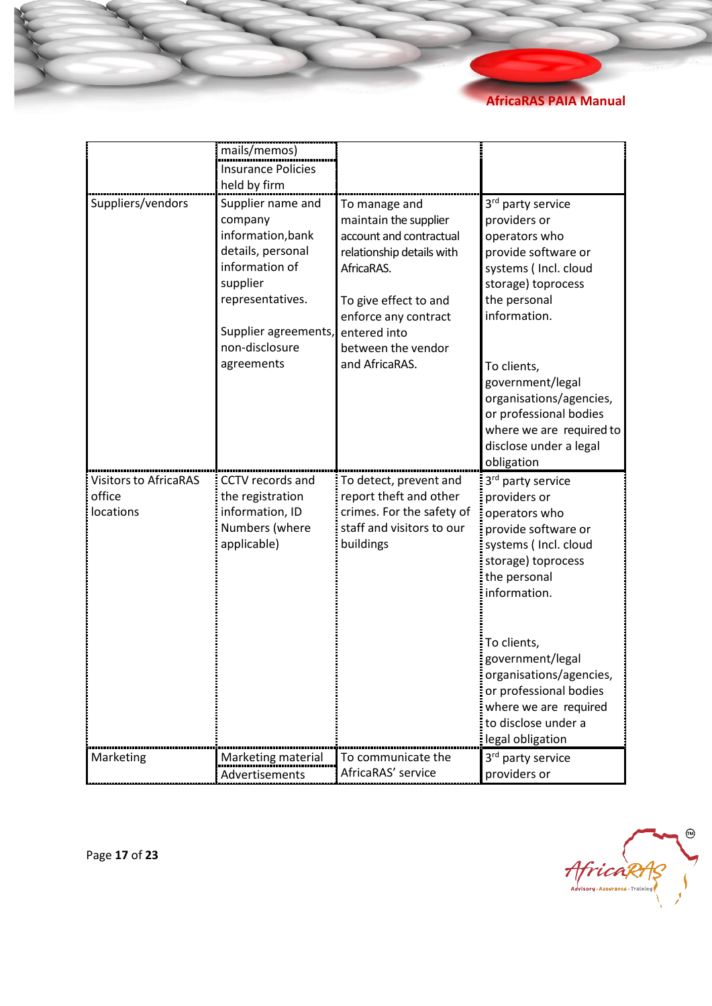|                                                     | mails/memos)                                                                                                                                                                     |                                                                                                                                                                                                                       |                                                                                                                                                                                                                                                                                                                      |
|-----------------------------------------------------|----------------------------------------------------------------------------------------------------------------------------------------------------------------------------------|-----------------------------------------------------------------------------------------------------------------------------------------------------------------------------------------------------------------------|----------------------------------------------------------------------------------------------------------------------------------------------------------------------------------------------------------------------------------------------------------------------------------------------------------------------|
|                                                     | <b>Insurance Policies</b>                                                                                                                                                        |                                                                                                                                                                                                                       |                                                                                                                                                                                                                                                                                                                      |
|                                                     | held by firm                                                                                                                                                                     |                                                                                                                                                                                                                       |                                                                                                                                                                                                                                                                                                                      |
| Suppliers/vendors                                   | Supplier name and<br>company<br>information, bank<br>details, personal<br>information of<br>supplier<br>representatives.<br>Supplier agreements,<br>non-disclosure<br>agreements | To manage and<br>maintain the supplier<br>account and contractual<br>relationship details with<br>AfricaRAS.<br>To give effect to and<br>enforce any contract<br>entered into<br>between the vendor<br>and AfricaRAS. | 3rd party service<br>providers or<br>operators who<br>provide software or<br>systems ( Incl. cloud<br>storage) toprocess<br>the personal<br>information.<br>To clients,<br>government/legal<br>organisations/agencies,<br>or professional bodies<br>where we are required to<br>disclose under a legal<br>obligation |
| <b>Visitors to AfricaRAS</b><br>office<br>locations | CCTV records and<br>the registration<br>information, ID<br>Numbers (where<br>applicable)                                                                                         | To detect, prevent and<br>report theft and other<br>crimes. For the safety of<br>staff and visitors to our<br>buildings                                                                                               | 3rd party service<br>providers or<br>operators who<br>provide software or<br>systems (Incl. cloud<br>storage) toprocess<br>the personal<br>information.<br>To clients,<br>government/legal<br>organisations/agencies<br>or professional bodies<br>where we are required<br>to disclose under a<br>legal obligation   |
| Marketing                                           | Marketing material<br>Advertisements                                                                                                                                             | To communicate the<br>AfricaRAS' service                                                                                                                                                                              | 3rd party service<br>providers or                                                                                                                                                                                                                                                                                    |



Page **17** of **23**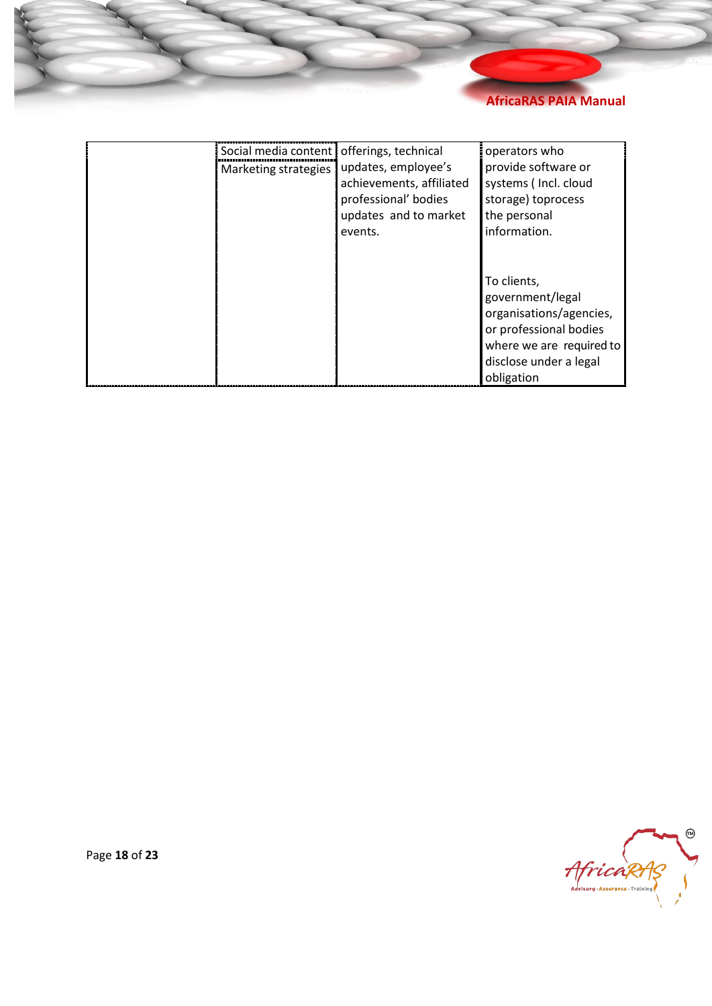

<span id="page-17-0"></span>

| Social media content   offerings, technical<br>Marketing strategies | updates, employee's<br>achievements, affiliated<br>professional' bodies<br>updates and to market<br>events. | operators who<br>provide software or<br>systems (Incl. cloud<br>storage) toprocess<br>the personal<br>information.                                       |
|---------------------------------------------------------------------|-------------------------------------------------------------------------------------------------------------|----------------------------------------------------------------------------------------------------------------------------------------------------------|
|                                                                     |                                                                                                             | To clients,<br>government/legal<br>organisations/agencies,<br>or professional bodies<br>where we are required to<br>disclose under a legal<br>obligation |



Page **18** of **23**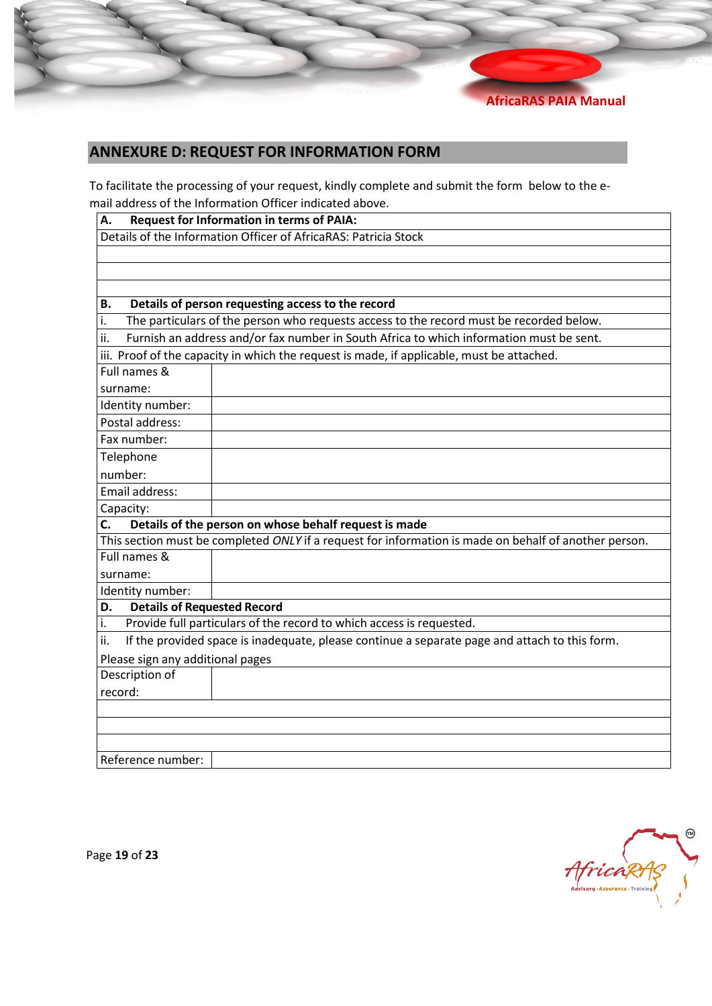<span id="page-18-0"></span>

## **ANNEXURE D: REQUEST FOR INFORMATION FORM**

To facilitate the processing of your request, kindly complete and submit the form below to the email address of the Information Officer indicated above.

| <b>Request for Information in terms of PAIA:</b><br>А.                                               |                                                                                                       |  |  |  |
|------------------------------------------------------------------------------------------------------|-------------------------------------------------------------------------------------------------------|--|--|--|
| Details of the Information Officer of AfricaRAS: Patricia Stock                                      |                                                                                                       |  |  |  |
|                                                                                                      |                                                                                                       |  |  |  |
|                                                                                                      |                                                                                                       |  |  |  |
|                                                                                                      |                                                                                                       |  |  |  |
| В.                                                                                                   | Details of person requesting access to the record                                                     |  |  |  |
| i.                                                                                                   | The particulars of the person who requests access to the record must be recorded below.               |  |  |  |
| ii.                                                                                                  | Furnish an address and/or fax number in South Africa to which information must be sent.               |  |  |  |
|                                                                                                      | iii. Proof of the capacity in which the request is made, if applicable, must be attached.             |  |  |  |
| Full names &                                                                                         |                                                                                                       |  |  |  |
| surname:                                                                                             |                                                                                                       |  |  |  |
| Identity number:                                                                                     |                                                                                                       |  |  |  |
| Postal address:                                                                                      |                                                                                                       |  |  |  |
| Fax number:                                                                                          |                                                                                                       |  |  |  |
| Telephone                                                                                            |                                                                                                       |  |  |  |
| number:                                                                                              |                                                                                                       |  |  |  |
| Email address:                                                                                       |                                                                                                       |  |  |  |
| Capacity:                                                                                            |                                                                                                       |  |  |  |
| C.                                                                                                   | Details of the person on whose behalf request is made                                                 |  |  |  |
|                                                                                                      | This section must be completed ONLY if a request for information is made on behalf of another person. |  |  |  |
| Full names &                                                                                         |                                                                                                       |  |  |  |
| surname:                                                                                             |                                                                                                       |  |  |  |
| Identity number:                                                                                     |                                                                                                       |  |  |  |
| <b>Details of Requested Record</b><br>D.                                                             |                                                                                                       |  |  |  |
| i.                                                                                                   | Provide full particulars of the record to which access is requested.                                  |  |  |  |
| If the provided space is inadequate, please continue a separate page and attach to this form.<br>ii. |                                                                                                       |  |  |  |
| Please sign any additional pages                                                                     |                                                                                                       |  |  |  |
| Description of                                                                                       |                                                                                                       |  |  |  |
| record:                                                                                              |                                                                                                       |  |  |  |
|                                                                                                      |                                                                                                       |  |  |  |
|                                                                                                      |                                                                                                       |  |  |  |
|                                                                                                      |                                                                                                       |  |  |  |
| Reference number:                                                                                    |                                                                                                       |  |  |  |

☜ AfricaRAS

Page **19** of **23**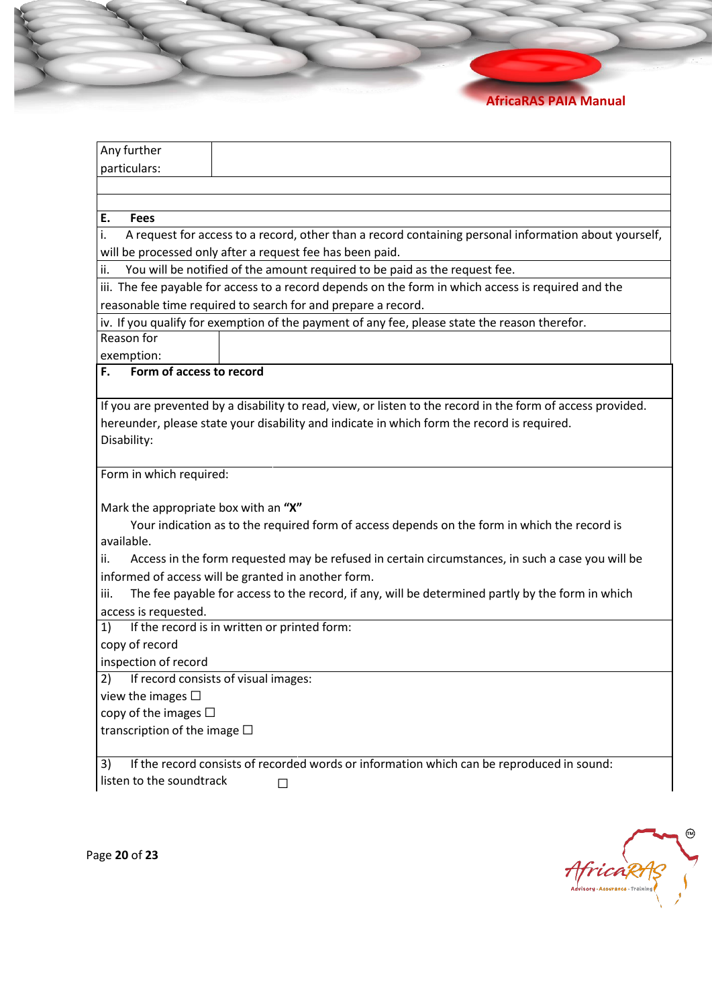| Any further<br>particulars:                           |                                                                                                             |
|-------------------------------------------------------|-------------------------------------------------------------------------------------------------------------|
|                                                       |                                                                                                             |
|                                                       |                                                                                                             |
| E.<br><b>Fees</b>                                     |                                                                                                             |
| i.                                                    | A request for access to a record, other than a record containing personal information about yourself,       |
|                                                       | will be processed only after a request fee has been paid.                                                   |
| ii.                                                   | You will be notified of the amount required to be paid as the request fee.                                  |
|                                                       | iii. The fee payable for access to a record depends on the form in which access is required and the         |
|                                                       | reasonable time required to search for and prepare a record.                                                |
|                                                       | iv. If you qualify for exemption of the payment of any fee, please state the reason therefor.               |
| Reason for                                            |                                                                                                             |
| exemption:                                            |                                                                                                             |
| F.<br>Form of access to record                        |                                                                                                             |
|                                                       |                                                                                                             |
|                                                       | If you are prevented by a disability to read, view, or listen to the record in the form of access provided. |
|                                                       |                                                                                                             |
|                                                       | hereunder, please state your disability and indicate in which form the record is required.                  |
| Disability:                                           |                                                                                                             |
|                                                       |                                                                                                             |
|                                                       |                                                                                                             |
|                                                       |                                                                                                             |
|                                                       |                                                                                                             |
|                                                       | Your indication as to the required form of access depends on the form in which the record is                |
| Mark the appropriate box with an "X"<br>available.    |                                                                                                             |
| ii.                                                   | Access in the form requested may be refused in certain circumstances, in such a case you will be            |
|                                                       | informed of access will be granted in another form.                                                         |
| iii.                                                  | The fee payable for access to the record, if any, will be determined partly by the form in which            |
|                                                       |                                                                                                             |
| 1)                                                    | If the record is in written or printed form:                                                                |
| copy of record                                        |                                                                                                             |
| inspection of record                                  |                                                                                                             |
| Form in which required:<br>access is requested.<br>2) | If record consists of visual images:                                                                        |
| view the images $\Box$                                |                                                                                                             |
| copy of the images $\Box$                             |                                                                                                             |
| transcription of the image $\Box$                     |                                                                                                             |

 $\odot$ AfricaRAS

Page **20** of **23**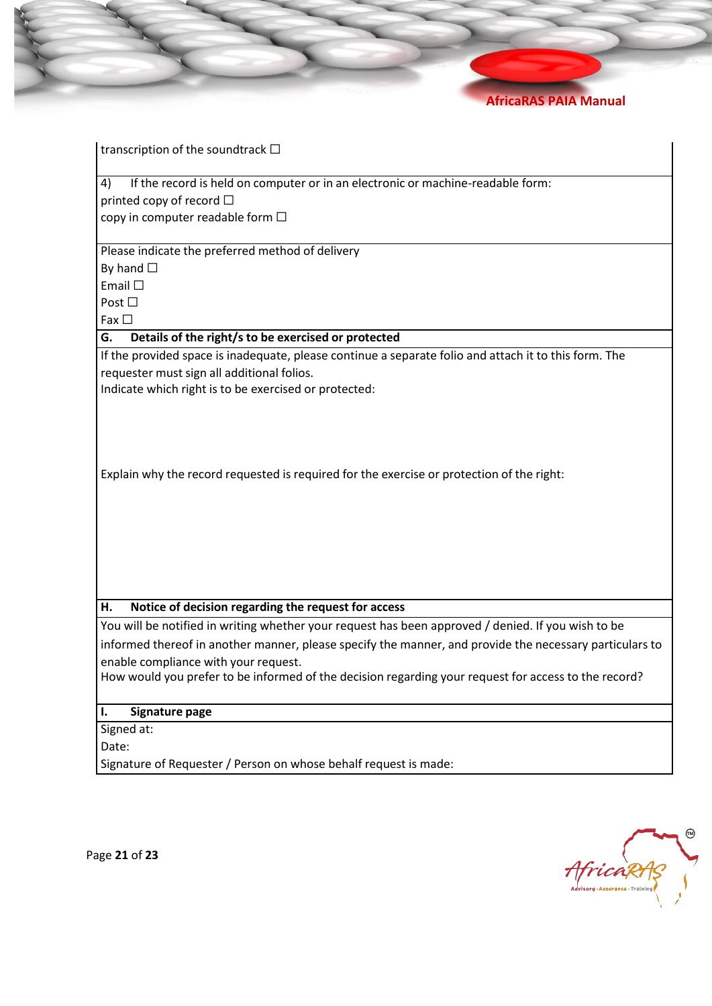

transcription of the soundtrack  $\Box$ 

4) If the record is held on computer or in an electronic or machine-readable form: printed copy of record  $\Box$ 

copy in computer readable form  $\Box$ 

Please indicate the preferred method of delivery

By hand  $\square$ 

• Email ☐

Post □

 $Fax \Box$ 

**G. Details of the right/s to be exercised or protected**

If the provided space is inadequate, please continue a separate folio and attach it to this form. The requester must sign all additional folios.

Indicate which right is to be exercised or protected:

Explain why the record requested is required for the exercise or protection of the right:

#### **H. Notice of decision regarding the request for access**

You will be notified in writing whether your request has been approved / denied. If you wish to be informed thereof in another manner, please specify the manner, and provide the necessary particulars to enable compliance with your request.

How would you prefer to be informed of the decision regarding your request for access to the record?

#### **I. Signature page**

Signed at:

Date:

Signature of Requester / Person on whose behalf request is made:



Page **21** of **23**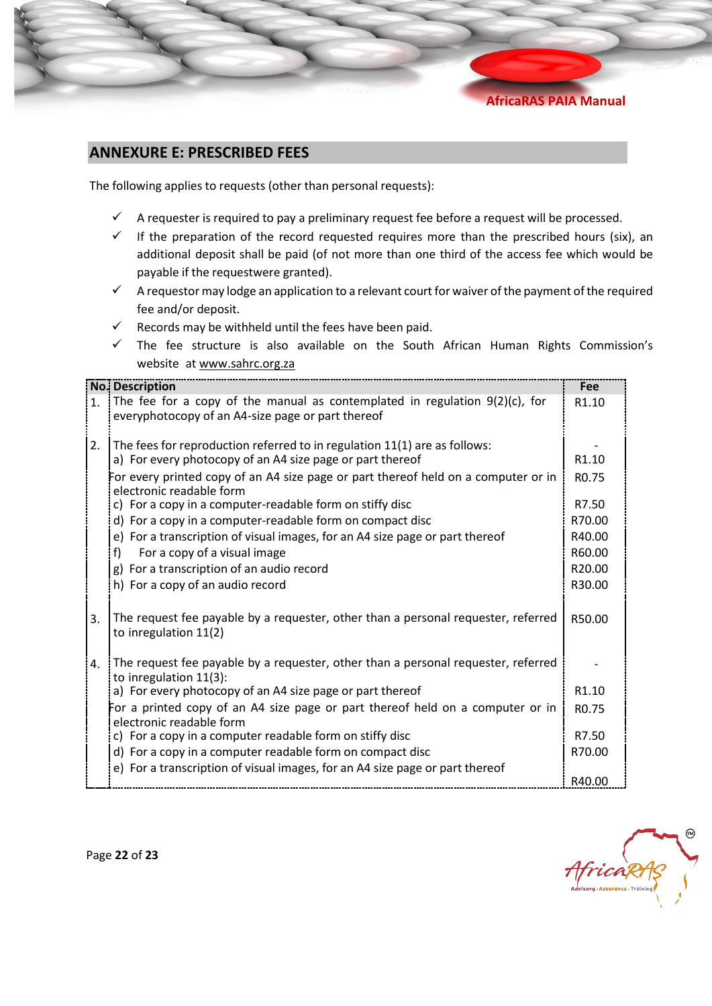## **ANNEXURE E: PRESCRIBED FEES**

The following applies to requests (other than personal requests):

- $\checkmark$  A requester is required to pay a preliminary request fee before a request will be processed.
- $\checkmark$  If the preparation of the record requested requires more than the prescribed hours (six), an additional deposit shall be paid (of not more than one third of the access fee which would be payable if the requestwere granted).
- ✓ A requestor may lodge an application to a relevant court for waiver of the payment of the required fee and/or deposit.
- $\checkmark$  Records may be withheld until the fees have been paid.
- $\checkmark$  The fee structure is also available on the South African Human Rights Commission's website at [www.sahrc.org.za](http://www.sahrc.org.za/)

|                | <b>No. Description</b>                                                                                                              | Fee               |
|----------------|-------------------------------------------------------------------------------------------------------------------------------------|-------------------|
| 1 <sup>1</sup> | The fee for a copy of the manual as contemplated in regulation $9(2)(c)$ , for<br>everyphotocopy of an A4-size page or part thereof | R <sub>1.10</sub> |
| 2.             | The fees for reproduction referred to in regulation 11(1) are as follows:                                                           |                   |
|                | a) For every photocopy of an A4 size page or part thereof                                                                           | R <sub>1.10</sub> |
|                | For every printed copy of an A4 size page or part thereof held on a computer or in<br>electronic readable form                      | R <sub>0.75</sub> |
|                | c) For a copy in a computer-readable form on stiffy disc                                                                            | R7.50             |
|                | d) For a copy in a computer-readable form on compact disc                                                                           | R70.00            |
|                | e) For a transcription of visual images, for an A4 size page or part thereof                                                        | R40.00            |
|                | For a copy of a visual image<br>f)                                                                                                  | R60.00            |
|                | g) For a transcription of an audio record                                                                                           | R20.00            |
|                | h) For a copy of an audio record                                                                                                    | R30.00            |
| 3.             | The request fee payable by a requester, other than a personal requester, referred<br>to inregulation 11(2)                          | R50.00            |
| 4.             | The request fee payable by a requester, other than a personal requester, referred<br>to inregulation $11(3)$ :                      |                   |
|                | a) For every photocopy of an A4 size page or part thereof                                                                           | R1.10             |
|                | For a printed copy of an A4 size page or part thereof held on a computer or in<br>electronic readable form                          | R <sub>0.75</sub> |
|                | c) For a copy in a computer readable form on stiffy disc                                                                            | R7.50             |
|                | d) For a copy in a computer readable form on compact disc                                                                           | R70.00            |
|                | e) For a transcription of visual images, for an A4 size page or part thereof                                                        |                   |
|                |                                                                                                                                     | R40.00            |



Page **22** of **23**